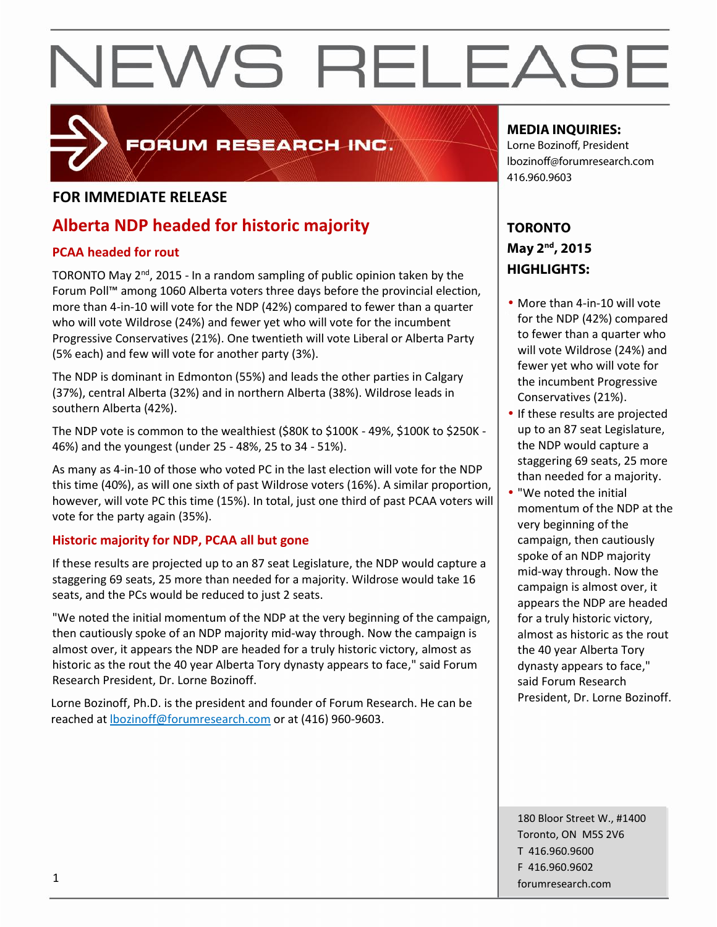

### FORUM RESEARCH INC.

#### **FOR IMMEDIATE RELEASE**

#### **Alberta NDP headed for historic majority**

#### **PCAA headed for rout**

TORONTO May 2<sup>nd</sup>, 2015 - In a random sampling of public opinion taken by the  $\begin{bmatrix} \mathbf{r} \end{bmatrix}$ Forum Poll™ among 1060 Alberta voters three days before the provincial election, more than 4-in-10 will vote for the NDP (42%) compared to fewer than a quarter who will vote Wildrose (24%) and fewer yet who will vote for the incumbent Progressive Conservatives (21%). One twentieth will vote Liberal or Alberta Party (5% each) and few will vote for another party (3%).

The NDP is dominant in Edmonton (55%) and leads the other parties in Calgary (37%), central Alberta (32%) and in northern Alberta (38%). Wildrose leads in southern Alberta (42%).

The NDP vote is common to the wealthiest (\$80K to \$100K - 49%, \$100K to \$250K - 46%) and the youngest (under 25 - 48%, 25 to 34 - 51%).

As many as 4-in-10 of those who voted PC in the last election will vote for the NDP this time (40%), as will one sixth of past Wildrose voters (16%). A similar proportion, however, will vote PC this time (15%). In total, just one third of past PCAA voters will vote for the party again (35%).

#### **Historic majority for NDP, PCAA all but gone**

If these results are projected up to an 87 seat Legislature, the NDP would capture a staggering 69 seats, 25 more than needed for a majority. Wildrose would take 16 seats, and the PCs would be reduced to just 2 seats.

"We noted the initial momentum of the NDP at the very beginning of the campaign, then cautiously spoke of an NDP majority mid-way through. Now the campaign is almost over, it appears the NDP are headed for a truly historic victory, almost as historic as the rout the 40 year Alberta Tory dynasty appears to face," said Forum Research President, Dr. Lorne Bozinoff.

Lorne Bozinoff, Ph.D. is the president and founder of Forum Research. He can be reached at lbozinoff@forumresearch.com or at (416) 960-9603.

#### **MEDIA INQUIRIES:**

Lorne Bozinoff, President lbozinoff@forumresearch.com 416.960.9603

#### **TORONTO May 2 nd , 2015 HIGHLIGHTS:**

- More than 4-in-10 will vote for the NDP (42%) compared to fewer than a quarter who will vote Wildrose (24%) and fewer yet who will vote for the incumbent Progressive Conservatives (21%).
- If these results are projected up to an 87 seat Legislature, the NDP would capture a staggering 69 seats, 25 more than needed for a majority.
- "We noted the initial momentum of the NDP at the very beginning of the campaign, then cautiously spoke of an NDP majority mid-way through. Now the campaign is almost over, it appears the NDP are headed for a truly historic victory, almost as historic as the rout the 40 year Alberta Tory dynasty appears to face," said Forum Research President, Dr. Lorne Bozinoff.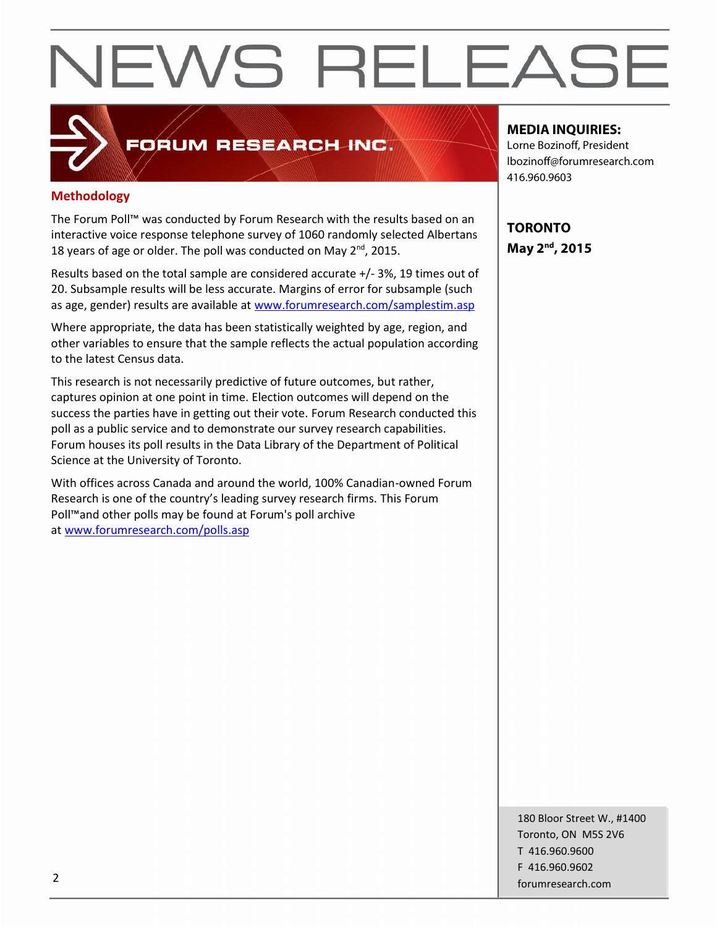### **Methodology**

FORUM RESEARCH INC.

The Forum Poll™ was conducted by Forum Research with the results based on an interactive voice response telephone survey of 1060 randomly selected Albertans 18 years of age or older. The poll was conducted on May 2<sup>nd</sup>, 2015.

Results based on the total sample are considered accurate +/- 3%, 19 times out of 20. Subsample results will be less accurate. Margins of error for subsample (such as age, gender) results are available at www.forumresearch.com/samplestim.asp

Where appropriate, the data has been statistically weighted by age, region, and other variables to ensure that the sample reflects the actual population according to the latest Census data.

This research is not necessarily predictive of future outcomes, but rather, captures opinion at one point in time. Election outcomes will depend on the success the parties have in getting out their vote. Forum Research conducted this poll as a public service and to demonstrate our survey research capabilities. Forum houses its poll results in the Data Library of the Department of Political Science at the University of Toronto.

With offices across Canada and around the world, 100% Canadian-owned Forum Research is one of the country's leading survey research firms. This Forum Poll™and other polls may be found at Forum's poll archive at www.forumresearch.com/polls.asp

#### **MEDIA INQUIRIES:**

Lorne Bozinoff, President lbozinoff@forumresearch.com 416.960.9603

**TORONTO May 2 nd , 2015**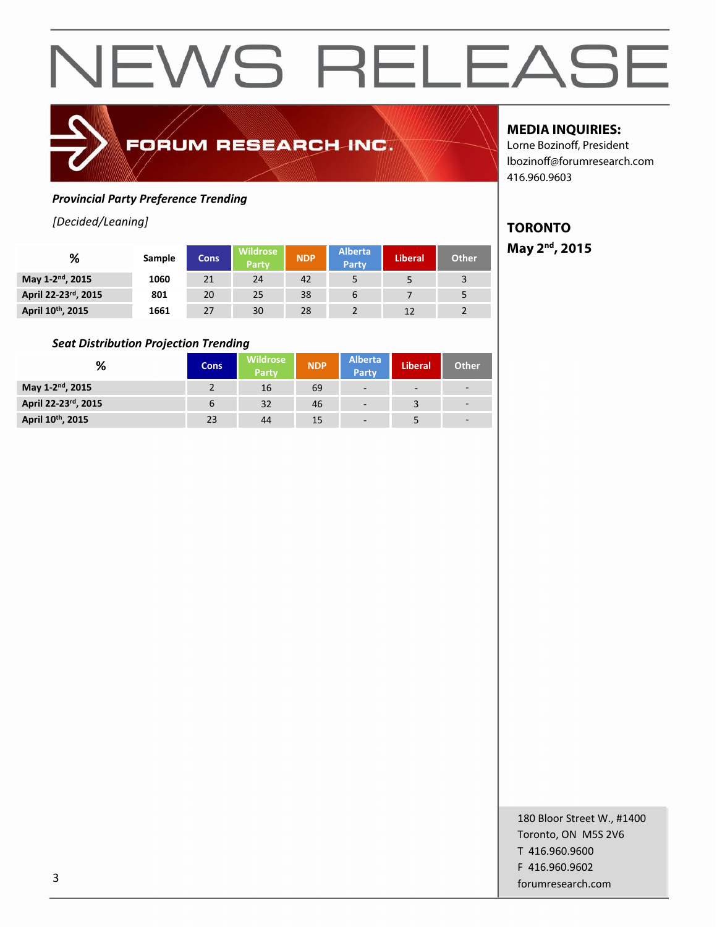### FORUM RESEARCH INC.

#### *Provincial Party Preference Trending*

*[Decided/Leaning]*

| %                            | Sample | <b>Cons</b> | Wildrose<br><b>Party</b> | <b>NDP</b> | <b>Alberta</b><br>Party | <b>Liberal</b> | <b>Other</b> |
|------------------------------|--------|-------------|--------------------------|------------|-------------------------|----------------|--------------|
| May 1-2 <sup>nd</sup> , 2015 | 1060   | 21          | 24                       | 42         |                         |                |              |
| April 22-23rd, 2015          | 801    | 20          | 25                       | 38         | 6                       |                |              |
| April 10th, 2015             | 1661   | 27          | 30                       | 28         |                         | 12             |              |

#### *Seat Distribution Projection Trending*

| %                             | <b>Cons</b> | <b>Wildrose</b><br>Party | <b>NDP</b> | <b>Alberta</b><br><b>Party</b> | <b>Liberal</b> | <b>Other</b>             |
|-------------------------------|-------------|--------------------------|------------|--------------------------------|----------------|--------------------------|
| May 1-2 <sup>nd</sup> , 2015  |             | 16                       | 69         | $\overline{\phantom{a}}$       | $\sim$         | $\overline{\phantom{a}}$ |
| April 22-23rd, 2015           | b           | 32                       | 46         |                                |                | $\overline{\phantom{a}}$ |
| April 10 <sup>th</sup> , 2015 | 23          | 44                       | 15         |                                |                | $\overline{\phantom{a}}$ |

#### **MEDIA INQUIRIES:**

Lorne Bozinoff, President lbozinoff@forumresearch.com 416.960.9603

#### **TORONTO**

**May 2 nd , 2015**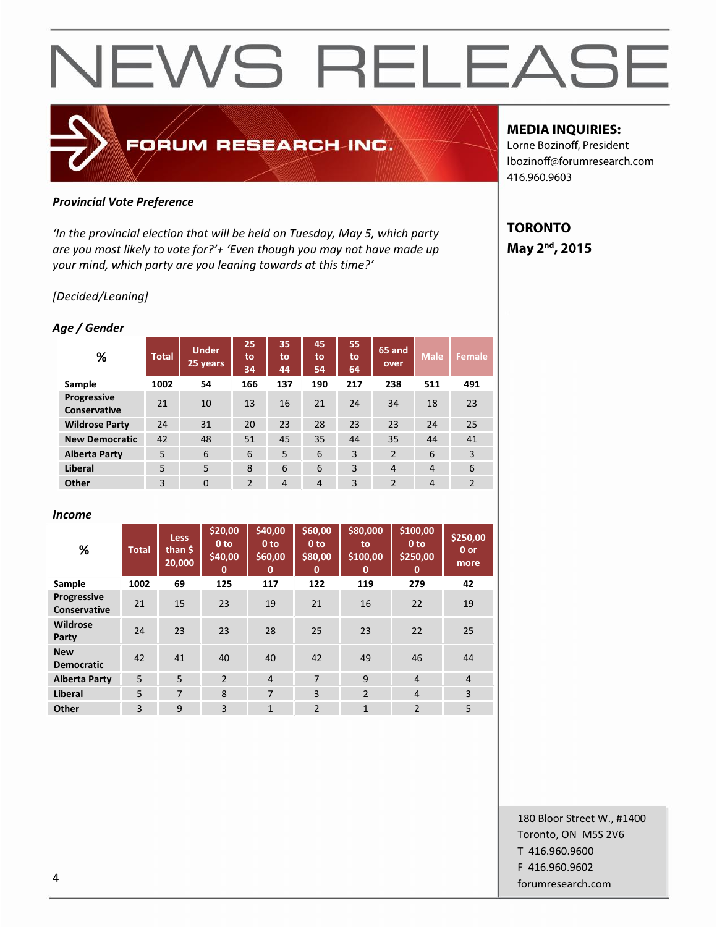

#### *Provincial Vote Preference*

*'In the provincial election that will be held on Tuesday, May 5, which party are you most likely to vote for?'+ 'Even though you may not have made up your mind, which party are you leaning towards at this time?'*

#### *[Decided/Leaning]*

#### *Age / Gender*

| %                                         | <b>Total</b> | <b>Under</b><br>25 years | 25<br>to<br>34 | 35<br>to<br>44 | 45<br>to<br>54 | 55<br>to<br>64 | 65 and<br>over | <b>Male</b>    | <b>Female</b>  |
|-------------------------------------------|--------------|--------------------------|----------------|----------------|----------------|----------------|----------------|----------------|----------------|
| Sample                                    | 1002         | 54                       | 166            | 137            | 190            | 217            | 238            | 511            | 491            |
| <b>Progressive</b><br><b>Conservative</b> | 21           | 10                       | 13             | 16             | 21             | 24             | 34             | 18             | 23             |
| <b>Wildrose Party</b>                     | 24           | 31                       | 20             | 23             | 28             | 23             | 23             | 24             | 25             |
| <b>New Democratic</b>                     | 42           | 48                       | 51             | 45             | 35             | 44             | 35             | 44             | 41             |
| <b>Alberta Party</b>                      | 5            | 6                        | 6              | 5              | 6              | 3              | $\overline{2}$ | 6              | 3              |
| <b>Liberal</b>                            | 5            | 5                        | 8              | 6              | 6              | 3              | $\overline{4}$ | $\overline{4}$ | 6              |
| Other                                     | 3            | $\Omega$                 | $\overline{2}$ | $\overline{4}$ | $\overline{4}$ | 3              | $\overline{2}$ | $\overline{4}$ | $\overline{2}$ |

#### *Income*

| %                               | <b>Total</b> | <b>Less</b><br>than \$<br>20,000 | \$20,00<br>0 <sub>to</sub><br>\$40,00<br>$\mathbf 0$ | \$40,00<br>0 <sub>to</sub><br>\$60,00<br>$\mathbf{0}$ | \$60,00<br>0 <sub>to</sub><br>\$80,00<br>$\mathbf{0}$ | \$80,000<br>to<br>\$100,00<br>$\mathbf{0}$ | \$100,00<br>0 <sub>to</sub><br>\$250,00<br>$\mathbf{0}$ | \$250,00<br>$0$ or<br>more |
|---------------------------------|--------------|----------------------------------|------------------------------------------------------|-------------------------------------------------------|-------------------------------------------------------|--------------------------------------------|---------------------------------------------------------|----------------------------|
| Sample                          | 1002         | 69                               | 125                                                  | 117                                                   | 122                                                   | 119                                        | 279                                                     | 42                         |
| Progressive<br>Conservative     | 21           | 15                               | 23                                                   | 19                                                    | 21                                                    | 16                                         | 22                                                      | 19                         |
| <b>Wildrose</b><br>Party        | 24           | 23                               | 23                                                   | 28                                                    | 25                                                    | 23                                         | 22                                                      | 25                         |
| <b>New</b><br><b>Democratic</b> | 42           | 41                               | 40                                                   | 40                                                    | 42                                                    | 49                                         | 46                                                      | 44                         |
| <b>Alberta Party</b>            | 5            | 5                                | $\overline{2}$                                       | $\overline{4}$                                        | $\overline{7}$                                        | 9                                          | $\overline{4}$                                          | $\overline{4}$             |
| <b>Liberal</b>                  | 5            | 7                                | 8                                                    | $\overline{7}$                                        | 3                                                     | $\overline{2}$                             | $\overline{4}$                                          | $\overline{3}$             |
| Other                           | 3            | 9                                | 3                                                    | $\mathbf{1}$                                          | $\overline{2}$                                        | $\mathbf{1}$                               | $\overline{2}$                                          | 5                          |

#### **MEDIA INQUIRIES:**

Lorne Bozinoff, President lbozinoff@forumresearch.com 416.960.9603

#### **TORONTO May 2 nd , 2015**